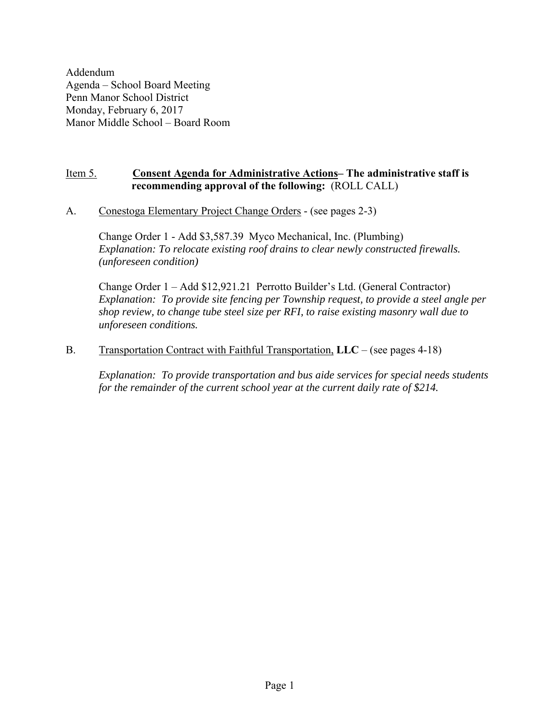Addendum Agenda – School Board Meeting Penn Manor School District Monday, February 6, 2017 Manor Middle School – Board Room

# Item 5. **Consent Agenda for Administrative Actions– The administrative staff is recommending approval of the following:** (ROLL CALL)

A. Conestoga Elementary Project Change Orders - (see pages 2-3)

Change Order 1 - Add \$3,587.39 Myco Mechanical, Inc. (Plumbing) *Explanation: To relocate existing roof drains to clear newly constructed firewalls. (unforeseen condition)*

Change Order 1 – Add \$12,921.21 Perrotto Builder's Ltd. (General Contractor) *Explanation: To provide site fencing per Township request, to provide a steel angle per shop review, to change tube steel size per RFI, to raise existing masonry wall due to unforeseen conditions.* 

# B. Transportation Contract with Faithful Transportation, **LLC** – (see pages 4-18)

*Explanation: To provide transportation and bus aide services for special needs students for the remainder of the current school year at the current daily rate of \$214.*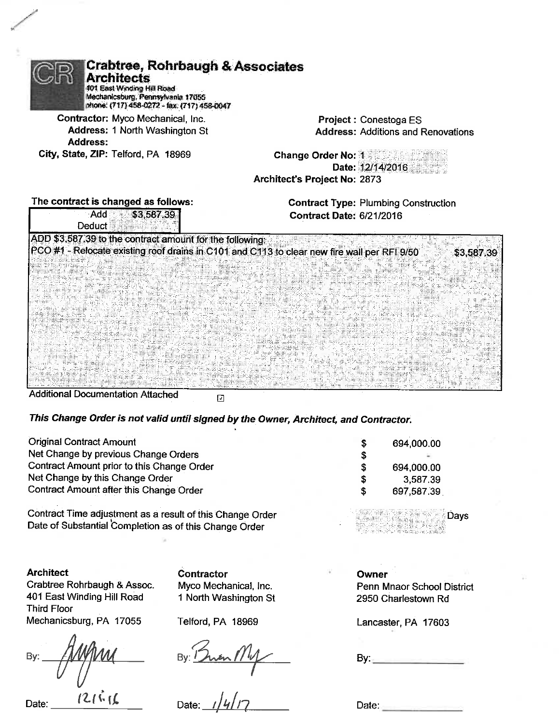| <b>Crabtree, Rohrbaugh &amp; Associates</b><br><b>Architects</b><br>401 East Winding Hill Road<br>Mechanicsburg, Pennsylvania 17055<br>phone: (717) 458-0272 - fax: (717) 458-0047 |                                 |                                             |
|------------------------------------------------------------------------------------------------------------------------------------------------------------------------------------|---------------------------------|---------------------------------------------|
| Contractor: Myco Mechanical, Inc.                                                                                                                                                  |                                 | Project: Conestoga ES                       |
| Address: 1 North Washington St<br>Address:                                                                                                                                         |                                 | <b>Address: Additions and Renovations</b>   |
| City, State, ZIP: Telford, PA 18969                                                                                                                                                | <b>Change Order No: 1</b>       | Date: 12/14/2016                            |
|                                                                                                                                                                                    | Architect's Project No: 2873    |                                             |
| The contract is changed as follows:                                                                                                                                                |                                 | <b>Contract Type: Plumbing Construction</b> |
| : Add<br>\$3,587.39<br>Deduct                                                                                                                                                      | <b>Contract Date: 6/21/2016</b> |                                             |
| ADD \$3,587.39 to the contract amount for the following:<br>PCO#1 - Relocate existing roof drains in C101 and C113 to clear new fire wall per RFI 9/50                             |                                 | \$3,587.3                                   |
|                                                                                                                                                                                    |                                 |                                             |

**Additional Documentation Attached** 

 $\overline{\mathbf{L}}$ 

This Change Order is not valid until signed by the Owner, Architect, and Contractor.

| <b>Original Contract Amount</b>            |    | 694,000,00 |
|--------------------------------------------|----|------------|
| Net Change by previous Change Orders       |    | $\sim$     |
| Contract Amount prior to this Change Order | S  | 694,000.00 |
| Net Change by this Change Order            | £  | 3,587.39   |
| Contract Amount after this Change Order    | £. | 697,587.39 |

Contract Time adjustment as a result of this Change Order Date of Substantial Completion as of this Change Order

**Architect** Crabtree Rohrbaugh & Assoc. 401 East Winding Hill Road **Third Floor** Mechanicsburg, PA 17055

By:  $121616$ 

Date:

Contractor Myco Mechanical, Inc. 1 North Washington St

Telford, PA 18969

 $3y:15$ <br> $11y$ By:  $\frac{1}{2}$ 

Date:

Days

Ι9

Owner Penn Mnaor School District 2950 Charlestown Rd

Lancaster, PA 17603

 $By_{\pm}$ 

Date: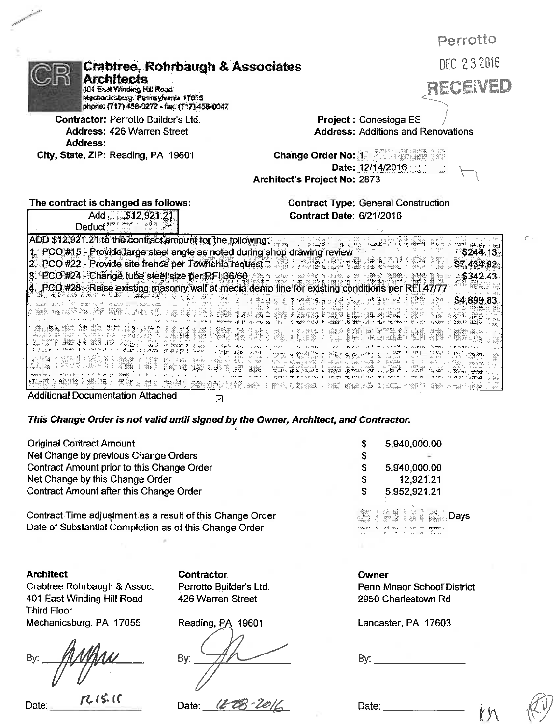| <b>Crabtree, Rohrbaugh &amp; Associates</b><br><b>Architects</b><br>401 East Winding Hill Road<br>Mechanicsburg, Pennsylvania 17055<br>phone: (717) 458-0272 - fax: (717) 458-0047 | Perrotto<br>DEC 232016<br><b>RECEIVED</b>                                     |
|------------------------------------------------------------------------------------------------------------------------------------------------------------------------------------|-------------------------------------------------------------------------------|
| Contractor: Perrotto Builder's Ltd.                                                                                                                                                | Project: Conestoga ES                                                         |
| <b>Address: 426 Warren Street</b>                                                                                                                                                  | <b>Address: Additions and Renovations</b>                                     |
| Address:<br>City, State, ZIP: Reading, PA 19601                                                                                                                                    | <b>Change Order No: 1</b><br>Date: 12/14/2016<br>Architect's Project No: 2873 |
| The contract is changed as follows:<br>\$12,921.21<br>Add<br>Deduct                                                                                                                | <b>Contract Type: General Construction</b><br><b>Contract Date: 6/21/2016</b> |
| ADD \$12,921.21 to the contract amount for the following:<br>1. PCO #15 - Provide large steel angle as noted during shop drawing review.                                           | \$244.13                                                                      |
| 2. PCO #22 - Provide site frence per Township request                                                                                                                              | \$7,434.82                                                                    |
| 3. PCO #24 - Change tube steel size per RFI 36/60                                                                                                                                  | \$342.43                                                                      |
| 4. PCO #28 - Raise existing masonry wall at media demo line for existing conditions per RFI 47/77                                                                                  |                                                                               |
|                                                                                                                                                                                    | \$4,899.83                                                                    |
|                                                                                                                                                                                    |                                                                               |
|                                                                                                                                                                                    |                                                                               |

**Additional Documentation Attached** 

 $\Xi$ 

This Change Order is not valid until signed by the Owner, Architect, and Contractor.

| <b>Original Contract Amount</b>            |      | 5,940,000.00 |
|--------------------------------------------|------|--------------|
| Net Change by previous Change Orders       |      | $\sim$       |
| Contract Amount prior to this Change Order |      | 5,940,000.00 |
| Net Change by this Change Order            |      | 12,921.21    |
| Contract Amount after this Change Order    | . కొ | 5,952,921.21 |

Contract Time adjustment as a result of this Change Order Date of Substantial Completion as of this Change Order

**Architect** Crabtree Rohrbaugh & Assoc. 401 East Winding Hill Road **Third Floor** Mechanicsburg, PA 17055

By

 $12.15.16$ Date:

**Contractor** Perrotto Builder's Ltd. 426 Warren Street

Reading, PA 19601

By:

(E CB Date:

Days

# Owner

Penn Mnaor School District 2950 Charlestown Rd

Lancaster, PA 17603

By:  $\frac{1}{2}$ 

Date: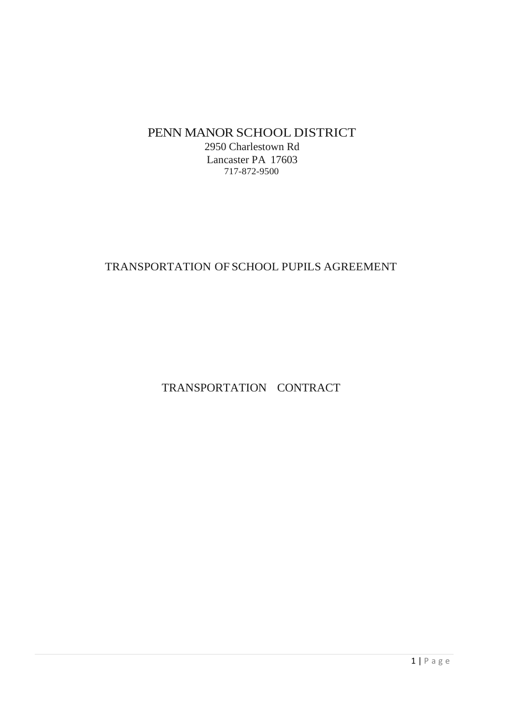# PENN MANOR SCHOOL DISTRICT

2950 Charlestown Rd Lancaster PA 17603 717-872-9500

# TRANSPORTATION OF SCHOOL PUPILS AGREEMENT

TRANSPORTATION CONTRACT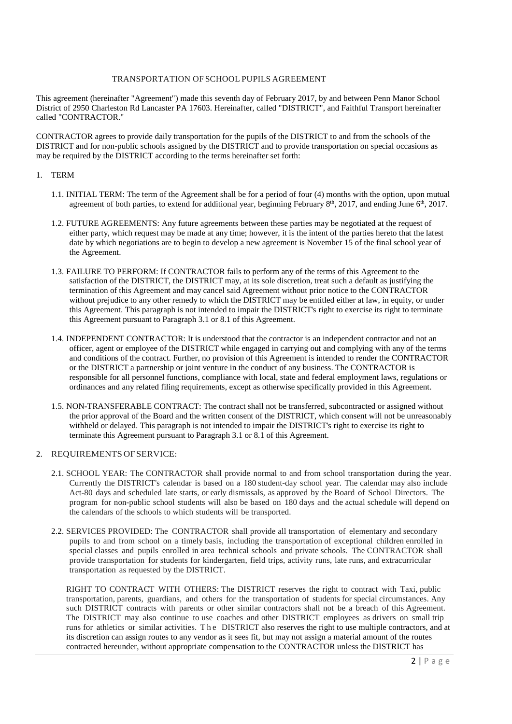# TRANSPORTATION OF SCHOOL PUPILS AGREEMENT

This agreement (hereinafter "Agreement") made this seventh day of February 2017, by and between Penn Manor School District of 2950 Charleston Rd Lancaster PA 17603. Hereinafter, called "DISTRICT", and Faithful Transport hereinafter called "CONTRACTOR."

CONTRACTOR agrees to provide daily transportation for the pupils of the DISTRICT to and from the schools of the DISTRICT and for non-public schools assigned by the DISTRICT and to provide transportation on special occasions as may be required by the DISTRICT according to the terms hereinafter set forth:

#### 1. TERM

- 1.1. INITIAL TERM: The term of the Agreement shall be for a period of four (4) months with the option, upon mutual agreement of both parties, to extend for additional year, beginning February 8<sup>th</sup>, 2017, and ending June  $6<sup>th</sup>$ , 2017.
- 1.2. FUTURE AGREEMENTS: Any future agreements between these parties may be negotiated at the request of either party, which request may be made at any time; however, it is the intent of the parties hereto that the latest date by which negotiations are to begin to develop a new agreement is November 15 of the final school year of the Agreement.
- 1.3. FAILURE TO PERFORM: If CONTRACTOR fails to perform any of the terms of this Agreement to the satisfaction of the DISTRICT, the DISTRICT may, at its sole discretion, treat such a default as justifying the termination of this Agreement and may cancel said Agreement without prior notice to the CONTRACTOR without prejudice to any other remedy to which the DISTRICT may be entitled either at law, in equity, or under this Agreement. This paragraph is not intended to impair the DISTRICT's right to exercise its right to terminate this Agreement pursuant to Paragraph 3.1 or 8.1 of this Agreement.
- 1.4. INDEPENDENT CONTRACTOR: It is understood that the contractor is an independent contractor and not an officer, agent or employee of the DISTRICT while engaged in carrying out and complying with any of the terms and conditions of the contract. Further, no provision of this Agreement is intended to render the CONTRACTOR or the DISTRICT a partnership or joint venture in the conduct of any business. The CONTRACTOR is responsible for all personnel functions, compliance with local, state and federal employment laws, regulations or ordinances and any related filing requirements, except as otherwise specifically provided in this Agreement.
- 1.5. NON-TRANSFERABLE CONTRACT: The contract shall not be transferred, subcontracted or assigned without the prior approval of the Board and the written consent of the DISTRICT, which consent will not be unreasonably withheld or delayed. This paragraph is not intended to impair the DISTRICT's right to exercise its right to terminate this Agreement pursuant to Paragraph 3.1 or 8.1 of this Agreement.

# 2. REQUIREMENTS OF SERVICE:

- 2.1. SCHOOL YEAR: The CONTRACTOR shall provide normal to and from school transportation during the year. Currently the DISTRICT's calendar is based on a 180 student-day school year. The calendar may also include Act-80 days and scheduled late starts, or early dismissals, as approved by the Board of School Directors. The program for non-public school students will also be based on 180 days and the actual schedule will depend on the calendars of the schools to which students will be transported.
- 2.2. SERVICES PROVIDED: The CONTRACTOR shall provide all transportation of elementary and secondary pupils to and from school on a timely basis, including the transportation of exceptional children enrolled in special classes and pupils enrolled in area technical schools and private schools. The CONTRACTOR shall provide transportation for students for kindergarten, field trips, activity runs, late runs, and extracurricular transportation as requested by the DISTRICT.

RIGHT TO CONTRACT WITH OTHERS: The DISTRICT reserves the right to contract with Taxi, public transportation, parents, guardians, and others for the transportation of students for special circumstances. Any such DISTRICT contracts with parents or other similar contractors shall not be a breach of this Agreement. The DISTRICT may also continue to use coaches and other DISTRICT employees as drivers on small trip runs for athletics or similar activities. T h e DISTRICT also reserves the right to use multiple contractors, and at its discretion can assign routes to any vendor as it sees fit, but may not assign a material amount of the routes contracted hereunder, without appropriate compensation to the CONTRACTOR unless the DISTRICT has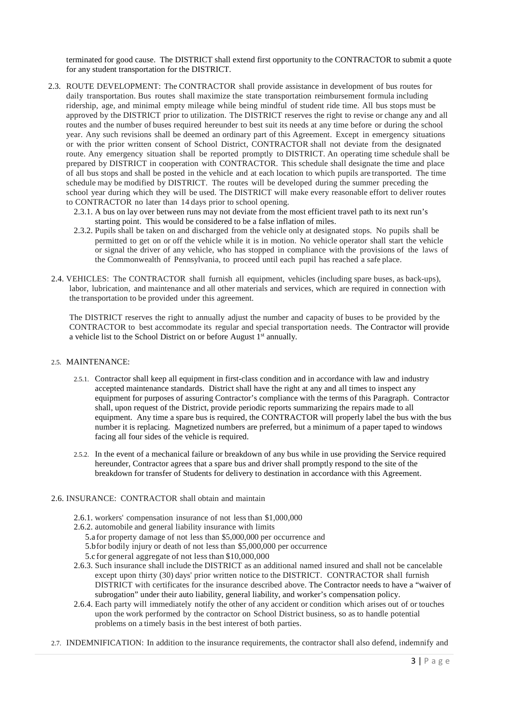terminated for good cause. The DISTRICT shall extend first opportunity to the CONTRACTOR to submit a quote for any student transportation for the DISTRICT.

- 2.3. ROUTE DEVELOPMENT: The CONTRACTOR shall provide assistance in development of bus routes for daily transportation. Bus routes shall maximize the state transportation reimbursement formula including ridership, age, and minimal empty mileage while being mindful of student ride time. All bus stops must be approved by the DISTRICT prior to utilization. The DISTRICT reserves the right to revise or change any and all routes and the number of buses required hereunder to best suit its needs at any time before or during the school year. Any such revisions shall be deemed an ordinary part of this Agreement. Except in emergency situations or with the prior written consent of School District, CONTRACTOR shall not deviate from the designated route. Any emergency situation shall be reported promptly to DISTRICT. An operating time schedule shall be prepared by DISTRICT in cooperation with CONTRACTOR. This schedule shall designate the time and place of all bus stops and shall be posted in the vehicle and at each location to which pupils are transported. The time schedule may be modified by DISTRICT. The routes will be developed during the summer preceding the school year during which they will be used. The DISTRICT will make every reasonable effort to deliver routes to CONTRACTOR no later than 14 days prior to school opening.
	- 2.3.1. A bus on lay over between runs may not deviate from the most efficient travel path to its next run's starting point. This would be considered to be a false inflation of miles.
	- 2.3.2. Pupils shall be taken on and discharged from the vehicle only at designated stops. No pupils shall be permitted to get on or off the vehicle while it is in motion. No vehicle operator shall start the vehicle or signal the driver of any vehicle, who has stopped in compliance with the provisions of the laws of the Commonwealth of Pennsylvania, to proceed until each pupil has reached a safe place.
- 2.4. VEHICLES: The CONTRACTOR shall furnish all equipment, vehicles (including spare buses, as back-ups), labor, lubrication, and maintenance and all other materials and services, which are required in connection with the transportation to be provided under this agreement.

The DISTRICT reserves the right to annually adjust the number and capacity of buses to be provided by the CONTRACTOR to best accommodate its regular and special transportation needs. The Contractor will provide a vehicle list to the School District on or before August  $1<sup>st</sup>$  annually.

#### 2.5. MAINTENANCE:

- 2.5.1. Contractor shall keep all equipment in first-class condition and in accordance with law and industry accepted maintenance standards. District shall have the right at any and all times to inspect any equipment for purposes of assuring Contractor's compliance with the terms of this Paragraph. Contractor shall, upon request of the District, provide periodic reports summarizing the repairs made to all equipment. Any time a spare bus is required, the CONTRACTOR will properly label the bus with the bus number it is replacing. Magnetized numbers are preferred, but a minimum of a paper taped to windows facing all four sides of the vehicle is required.
- 2.5.2. In the event of a mechanical failure or breakdown of any bus while in use providing the Service required hereunder, Contractor agrees that a spare bus and driver shall promptly respond to the site of the breakdown for transfer of Students for delivery to destination in accordance with this Agreement.

#### 2.6. INSURANCE: CONTRACTOR shall obtain and maintain

- 2.6.1. workers' compensation insurance of not less than \$1,000,000
- 2.6.2. automobile and general liability insurance with limits
	- 5.a for property damage of not less than \$5,000,000 per occurrence and
	- 5.bfor bodily injury or death of not less than \$5,000,000 per occurrence
	- 5.c for general aggregate of not less than \$10,000,000
- 2.6.3. Such insurance shall include the DISTRICT as an additional named insured and shall not be cancelable except upon thirty (30) days' prior written notice to the DISTRICT. CONTRACTOR shall furnish DISTRICT with certificates for the insurance described above. The Contractor needs to have a "waiver of subrogation" under their auto liability, general liability, and worker's compensation policy.
- 2.6.4. Each party will immediately notify the other of any accident or condition which arises out of or touches upon the work performed by the contractor on School District business, so as to handle potential problems on a timely basis in the best interest of both parties.
- 2.7. INDEMNIFICATION: In addition to the insurance requirements, the contractor shall also defend, indemnify and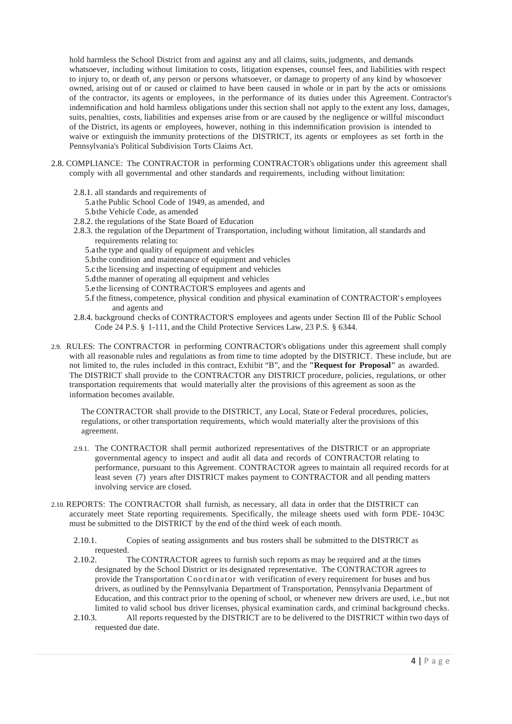hold harmless the School District from and against any and all claims, suits, judgments, and demands whatsoever, including without limitation to costs, litigation expenses, counsel fees, and liabilities with respect to injury to, or death of, any person or persons whatsoever, or damage to property of any kind by whosoever owned, arising out of or caused or claimed to have been caused in whole or in part by the acts or omissions of the contractor, its agents or employees, in the performance of its duties under this Agreement. Contractor's indemnification and hold harmless obligations under this section shall not apply to the extent any loss, damages, suits, penalties, costs, liabilities and expenses arise from or are caused by the negligence or willful misconduct of the District, its agents or employees, however, nothing in this indemnification provision is intended to waive or extinguish the immunity protections of the DISTRICT, its agents or employees as set forth in the Pennsylvania's Political Subdivision Torts Claims Act.

- 2.8. COMPLIANCE: The CONTRACTOR in performing CONTRACTOR's obligations under this agreement shall comply with all governmental and other standards and requirements, including without limitation:
	- 2.8.1. all standards and requirements of
		- 5.a the Public School Code of 1949, as amended, and
		- 5.bthe Vehicle Code, as amended
	- 2.8.2. the regulations of the State Board of Education
	- 2.8.3. the regulation of the Department of Transportation, including without limitation, all standards and requirements relating to:
		- 5.a the type and quality of equipment and vehicles
		- 5.bthe condition and maintenance of equipment and vehicles
		- 5.c the licensing and inspecting of equipment and vehicles
		- 5.dthe manner of operating all equipment and vehicles
		- 5.e the licensing of CONTRACTOR'S employees and agents and
		- 5.f the fitness, competence, physical condition and physical examination of CONTRACTOR' s employees and agents and
	- 2.8.4. background checks of CONTRACTOR'S employees and agents under Section Ill of the Public School Code 24 P.S. § 1-111, and the Child Protective Services Law, 23 P.S. § 6344.
- 2.9. RULES: The CONTRACTOR in performing CONTRACTOR's obligations under this agreement shall comply with all reasonable rules and regulations as from time to time adopted by the DISTRICT. These include, but are not limited to, the rules included in this contract, Exhibit "B", and the **"Request for Proposal"** as awarded. The DISTRICT shall provide to the CONTRACTOR any DISTRICT procedure, policies, regulations, or other transportation requirements that would materially alter the provisions of this agreement as soon as the information becomes available.

The CONTRACTOR shall provide to the DISTRICT, any Local, State or Federal procedures, policies, regulations, or other transportation requirements, which would materially alter the provisions of this agreement.

- 2.9.1. The CONTRACTOR shall permit authorized representatives of the DISTRICT or an appropriate governmental agency to inspect and audit all data and records of CONTRACTOR relating to performance, pursuant to this Agreement. CONTRACTOR agrees to maintain all required records for at least seven (7) years after DISTRICT makes payment to CONTRACTOR and all pending matters involving service are closed.
- 2.10. REPORTS: The CONTRACTOR shall furnish, as necessary, all data in order that the DISTRICT can accurately meet State reporting requirements. Specifically, the mileage sheets used with form PDE- 1043C must be submitted to the DISTRICT by the end of the third week of each month.
	- 2.10.1. Copies of seating assignments and bus rosters shall be submitted to the DISTRICT as requested.
	- 2.10.2. The CONTRACTOR agrees to furnish such reports as may be required and at the times designated by the School District or its designated representative. The CONTRACTOR agrees to provide the Transportation Coordinator with verification of every requirement for buses and bus drivers, as outlined by the Pennsylvania Department of Transportation, Pennsylvania Department of Education, and this contract prior to the opening of school, or whenever new drivers are used, i.e., but not limited to valid school bus driver licenses, physical examination cards, and criminal background checks.
	- 2.10.3. All reports requested by the DISTRICT are to be delivered to the DISTRICT within two days of requested due date.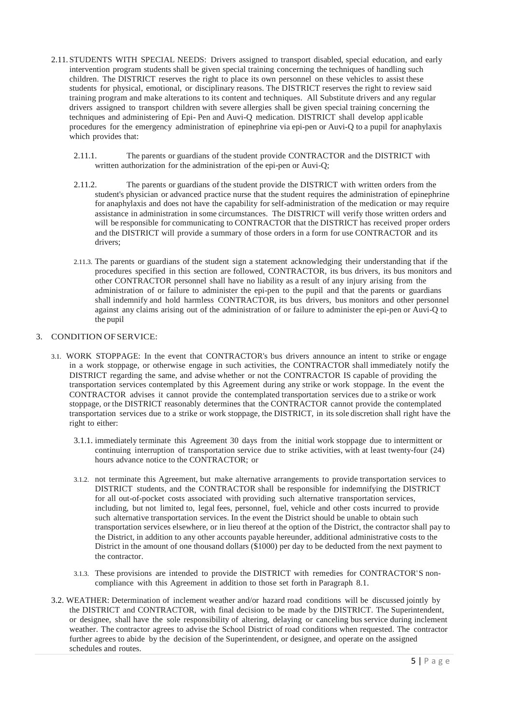- 2.11. STUDENTS WITH SPECIAL NEEDS: Drivers assigned to transport disabled, special education, and early intervention program students shall be given special training concerning the techniques of handling such children. The DISTRICT reserves the right to place its own personnel on these vehicles to assist these students for physical, emotional, or disciplinary reasons. The DISTRICT reserves the right to review said training program and make alterations to its content and techniques. All Substitute drivers and any regular drivers assigned to transport children with severe allergies shall be given special training concerning the techniques and administering of Epi- Pen and Auvi-Q medication. DISTRICT shall develop applicable procedures for the emergency administration of epinephrine via epi-pen or Auvi-Q to a pupil for anaphylaxis which provides that:
	- 2.11.1. The parents or guardians of the student provide CONTRACTOR and the DISTRICT with written authorization for the administration of the epi-pen or Auvi-Q;
	- 2.11.2. The parents or guardians of the student provide the DISTRICT with written orders from the student's physician or advanced practice nurse that the student requires the administration of epinephrine for anaphylaxis and does not have the capability for self-administration of the medication or may require assistance in administration in some circumstances. The DISTRICT will verify those written orders and will be responsible for communicating to CONTRACTOR that the DISTRICT has received proper orders and the DISTRICT will provide a summary of those orders in a form for use CONTRACTOR and its drivers;
	- 2.11.3. The parents or guardians of the student sign a statement acknowledging their understanding that if the procedures specified in this section are followed, CONTRACTOR, its bus drivers, its bus monitors and other CONTRACTOR personnel shall have no liability as a result of any injury arising from the administration of or failure to administer the epi-pen to the pupil and that the parents or guardians shall indemnify and hold harmless CONTRACTOR, its bus drivers, bus monitors and other personnel against any claims arising out of the administration of or failure to administer the epi-pen or Auvi-Q to the pupil

# 3. CONDITION OF SERVICE:

- 3.1. WORK STOPPAGE: In the event that CONTRACTOR's bus drivers announce an intent to strike or engage in a work stoppage, or otherwise engage in such activities, the CONTRACTOR shall immediately notify the DISTRICT regarding the same, and advise whether or not the CONTRACTOR IS capable of providing the transportation services contemplated by this Agreement during any strike or work stoppage. In the event the CONTRACTOR advises it cannot provide the contemplated transportation services due to a strike or work stoppage, or the DISTRICT reasonably determines that the CONTRACTOR cannot provide the contemplated transportation services due to a strike or work stoppage, the DISTRICT, in its sole discretion shall right have the right to either:
	- 3.1.1. immediately terminate this Agreement 30 days from the initial work stoppage due to intermittent or continuing interruption of transportation service due to strike activities, with at least twenty-four (24) hours advance notice to the CONTRACTOR; or
	- 3.1.2. not terminate this Agreement, but make alternative arrangements to provide transportation services to DISTRICT students, and the CONTRACTOR shall be responsible for indemnifying the DISTRICT for all out-of-pocket costs associated with providing such alternative transportation services, including, but not limited to, legal fees, personnel, fuel, vehicle and other costs incurred to provide such alternative transportation services. In the event the District should be unable to obtain such transportation services elsewhere, or in lieu thereof at the option of the District, the contractor shall pay to the District, in addition to any other accounts payable hereunder, additional administrative costs to the District in the amount of one thousand dollars (\$1000) per day to be deducted from the next payment to the contractor.
	- 3.1.3. These provisions are intended to provide the DISTRICT with remedies for CONTRACTOR' S noncompliance with this Agreement in addition to those set forth in Paragraph 8.1.
- 3.2. WEATHER: Determination of inclement weather and/or hazard road conditions will be discussed jointly by the DISTRICT and CONTRACTOR, with final decision to be made by the DISTRICT. The Superintendent, or designee, shall have the sole responsibility of altering, delaying or canceling bus service during inclement weather. The contractor agrees to advise the School District of road conditions when requested. The contractor further agrees to abide by the decision of the Superintendent, or designee, and operate on the assigned schedules and routes.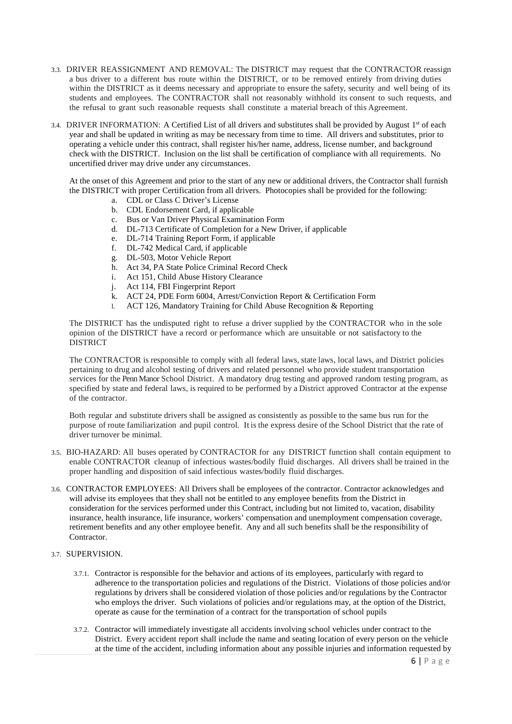- 3.3. DRIVER REASSIGNMENT AND REMOVAL: The DISTRICT may request that the CONTRACTOR reassign a bus driver to a different bus route within the DISTRICT, or to be removed entirely from driving duties within the DISTRICT as it deems necessary and appropriate to ensure the safety, security and well being of its students and employees. The CONTRACTOR shall not reasonably withhold its consent to such requests, and the refusal to grant such reasonable requests shall constitute a material breach of this Agreement.
- 3.4. DRIVER INFORMATION: A Certified List of all drivers and substitutes shall be provided by August  $1<sup>st</sup>$  of each year and shall be updated in writing as may be necessary from time to time. All drivers and substitutes, prior to operating a vehicle under this contract, shall register his/her name, address, license number, and background check with the DISTRICT. Inclusion on the list shall be certification of compliance with all requirements. No uncertified driver may drive under any circumstances.

At the onset of this Agreement and prior to the start of any new or additional drivers, the Contractor shall furnish the DISTRICT with proper Certification from all drivers. Photocopies shall be provided for the following:

- a. CDL or Class C Driver's License
- b. CDL Endorsement Card, if applicable
- c. Bus or Van Driver Physical Examination Form
- d. DL-713 Certificate of Completion for a New Driver, if applicable
- e. DL-714 Training Report Form, if applicable
- f. DL-742 Medical Card, if applicable
- g. DL-503, Motor Vehicle Report
- h. Act 34, PA State Police Criminal Record Check
- i. Act 151, Child Abuse History Clearance
- j. Act 114, FBI Fingerprint Report
- k. ACT 24, PDE Form 6004, Arrest/Conviction Report & Certification Form
- l. ACT 126, Mandatory Training for Child Abuse Recognition & Reporting

The DISTRICT has the undisputed right to refuse a driver supplied by the CONTRACTOR who in the sole opinion of the DISTRICT have a record or performance which are unsuitable or not satisfactory to the DISTRICT

The CONTRACTOR is responsible to comply with all federal laws, state laws, local laws, and District policies pertaining to drug and alcohol testing of drivers and related personnel who provide student transportation services for the Penn Manor School District. A mandatory drug testing and approved random testing program, as specified by state and federal laws, is required to be performed by a District approved Contractor at the expense of the contractor.

Both regular and substitute drivers shall be assigned as consistently as possible to the same bus run for the purpose of route familiarization and pupil control. It is the express desire of the School District that the rate of driver turnover be minimal.

- 3.5. BIO-HAZARD: All buses operated by CONTRACTOR for any DISTRICT function shall contain equipment to enable CONTRACTOR cleanup of infectious wastes/bodily fluid discharges. All drivers shall be trained in the proper handling and disposition of said infectious wastes/bodily fluid discharges.
- 3.6. CONTRACTOR EMPLOYEES: All Drivers shall be employees of the contractor. Contractor acknowledges and will advise its employees that they shall not be entitled to any employee benefits from the District in consideration for the services performed under this Contract, including but not limited to, vacation, disability insurance, health insurance, life insurance, workers' compensation and unemployment compensation coverage, retirement benefits and any other employee benefit. Any and all such benefits shall be the responsibility of Contractor.

#### 3.7. SUPERVISION.

- 3.7.1. Contractor is responsible for the behavior and actions of its employees, particularly with regard to adherence to the transportation policies and regulations of the District. Violations of those policies and/or regulations by drivers shall be considered violation of those policies and/or regulations by the Contractor who employs the driver. Such violations of policies and/or regulations may, at the option of the District, operate as cause for the termination of a contract for the transportation of school pupils
- 3.7.2. Contractor will immediately investigate all accidents involving school vehicles under contract to the District. Every accident report shall include the name and seating location of every person on the vehicle at the time of the accident, including information about any possible injuries and information requested by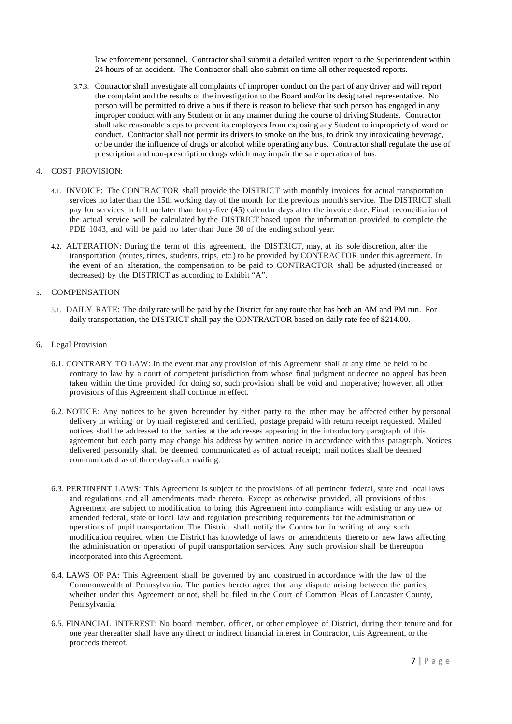law enforcement personnel. Contractor shall submit a detailed written report to the Superintendent within 24 hours of an accident. The Contractor shall also submit on time all other requested reports.

3.7.3. Contractor shall investigate all complaints of improper conduct on the part of any driver and will report the complaint and the results of the investigation to the Board and/or its designated representative. No person will be permitted to drive a bus if there is reason to believe that such person has engaged in any improper conduct with any Student or in any manner during the course of driving Students. Contractor shall take reasonable steps to prevent its employees from exposing any Student to impropriety of word or conduct. Contractor shall not permit its drivers to smoke on the bus, to drink any intoxicating beverage, or be under the influence of drugs or alcohol while operating any bus. Contractor shall regulate the use of prescription and non-prescription drugs which may impair the safe operation of bus.

#### 4. COST PROVISION:

- 4.1. INVOICE: The CONTRACTOR shall provide the DISTRICT with monthly invoices for actual transportation services no later than the 15th working day of the month for the previous month's service. The DISTRICT shall pay for services in full no later than forty-five (45) calendar days after the invoice date. Final reconciliation of the actual service will be calculated by the DISTRICT based upon the information provided to complete the PDE 1043, and will be paid no later than June 30 of the ending school year.
- 4.2. ALTERATION: During the term of this agreement, the DISTRICT, may, at its sole discretion, alter the transportation (routes, times, students, trips, etc.) to be provided by CONTRACTOR under this agreement. In the event of an alteration, the compensation to be paid to CONTRACTOR shall be adjusted (increased or decreased) by the DISTRICT as according to Exhibit "A".

### 5. COMPENSATION

- 5.1. DAILY RATE: The daily rate will be paid by the District for any route that has both an AM and PM run. For daily transportation, the DISTRICT shall pay the CONTRACTOR based on daily rate fee of \$214.00.
- 6. Legal Provision
	- 6.1. CONTRARY TO LAW: In the event that any provision of this Agreement shall at any time be held to be contrary to law by a court of competent jurisdiction from whose final judgment or decree no appeal has been taken within the time provided for doing so, such provision shall be void and inoperative; however, all other provisions of this Agreement shall continue in effect.
	- 6.2. NOTICE: Any notices to be given hereunder by either party to the other may be affected either by personal delivery in writing or by mail registered and certified, postage prepaid with return receipt requested. Mailed notices shall be addressed to the parties at the addresses appearing in the introductory paragraph of this agreement but each party may change his address by written notice in accordance with this paragraph. Notices delivered personally shall be deemed communicated as of actual receipt; mail notices shall be deemed communicated as of three days after mailing.
	- 6.3. PERTINENT LAWS: This Agreement is subject to the provisions of all pertinent federal, state and local laws and regulations and all amendments made thereto. Except as otherwise provided, all provisions of this Agreement are subject to modification to bring this Agreement into compliance with existing or any new or amended federal, state or local law and regulation prescribing requirements for the administration or operations of pupil transportation. The District shall notify the Contractor in writing of any such modification required when the District has knowledge of laws or amendments thereto or new laws affecting the administration or operation of pupil transportation services. Any such provision shall be thereupon incorporated into this Agreement.
	- 6.4. LAWS OF PA: This Agreement shall be governed by and construed in accordance with the law of the Commonwealth of Pennsylvania. The parties hereto agree that any dispute arising between the parties, whether under this Agreement or not, shall be filed in the Court of Common Pleas of Lancaster County, Pennsylvania.
	- 6.5. FINANCIAL INTEREST: No board member, officer, or other employee of District, during their tenure and for one year thereafter shall have any direct or indirect financial interest in Contractor, this Agreement, or the proceeds thereof.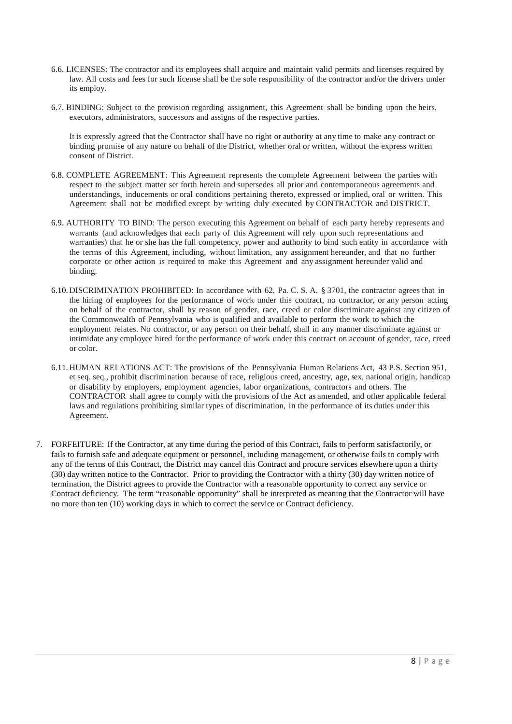- 6.6. LICENSES: The contractor and its employees shall acquire and maintain valid permits and licenses required by law. All costs and fees for such license shall be the sole responsibility of the contractor and/or the drivers under its employ.
- 6.7. BINDING: Subject to the provision regarding assignment, this Agreement shall be binding upon the heirs, executors, administrators, successors and assigns of the respective parties.

It is expressly agreed that the Contractor shall have no right or authority at any time to make any contract or binding promise of any nature on behalf of the District, whether oral or written, without the express written consent of District.

- 6.8. COMPLETE AGREEMENT: This Agreement represents the complete Agreement between the parties with respect to the subject matter set forth herein and supersedes all prior and contemporaneous agreements and understandings, inducements or oral conditions pertaining thereto, expressed or implied, oral or written. This Agreement shall not be modified except by writing duly executed by CONTRACTOR and DISTRICT.
- 6.9. AUTHORITY TO BIND: The person executing this Agreement on behalf of each party hereby represents and warrants (and acknowledges that each party of this Agreement will rely upon such representations and warranties) that he or she has the full competency, power and authority to bind such entity in accordance with the terms of this Agreement, including, without limitation, any assignment hereunder, and that no further corporate or other action is required to make this Agreement and any assignment hereunder valid and binding.
- 6.10. DISCRIMINATION PROHIBITED: In accordance with 62, Pa. C. S. A. § 3701, the contractor agrees that in the hiring of employees for the performance of work under this contract, no contractor, or any person acting on behalf of the contractor, shall by reason of gender, race, creed or color discriminate against any citizen of the Commonwealth of Pennsylvania who is qualified and available to perform the work to which the employment relates. No contractor, or any person on their behalf, shall in any manner discriminate against or intimidate any employee hired for the performance of work under this contract on account of gender, race, creed or color.
- 6.11. HUMAN RELATIONS ACT: The provisions of the Pennsylvania Human Relations Act, 43 P.S. Section 951, et seq. seq., prohibit discrimination because of race, religious creed, ancestry, age, sex, national origin, handicap or disability by employers, employment agencies, labor organizations, contractors and others. The CONTRACTOR shall agree to comply with the provisions of the Act as amended, and other applicable federal laws and regulations prohibiting similar types of discrimination, in the performance of its duties under this Agreement.
- 7. FORFEITURE: If the Contractor, at any time during the period of this Contract, fails to perform satisfactorily, or fails to furnish safe and adequate equipment or personnel, including management, or otherwise fails to comply with any of the terms of this Contract, the District may cancel this Contract and procure services elsewhere upon a thirty (30) day written notice to the Contractor. Prior to providing the Contractor with a thirty (30) day written notice of termination, the District agrees to provide the Contractor with a reasonable opportunity to correct any service or Contract deficiency. The term "reasonable opportunity" shall be interpreted as meaning that the Contractor will have no more than ten (10) working days in which to correct the service or Contract deficiency.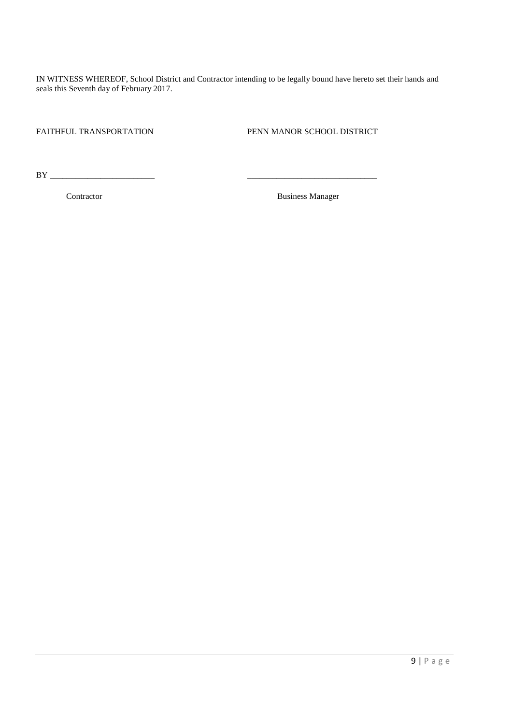IN WITNESS WHEREOF, School District and Contractor intending to be legally bound have hereto set their hands and seals this Seventh day of February 2017.

FAITHFUL TRANSPORTATION PENN MANOR SCHOOL DISTRICT

BY \_\_\_\_\_\_\_\_\_\_\_\_\_\_\_\_\_\_\_\_\_\_\_\_\_ \_\_\_\_\_\_\_\_\_\_\_\_\_\_\_\_\_\_\_\_\_\_\_\_\_\_\_\_\_\_\_

**Contractor** Business Manager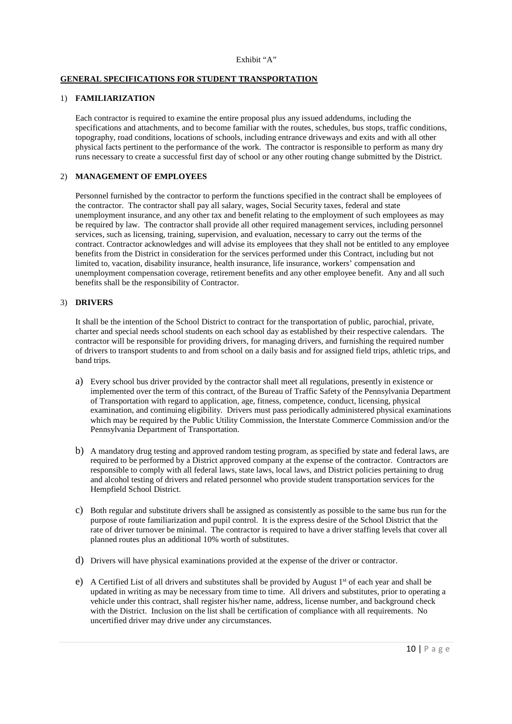#### Exhibit "A"

# **GENERAL SPECIFICATIONS FOR STUDENT TRANSPORTATION**

#### 1) **FAMILIARIZATION**

Each contractor is required to examine the entire proposal plus any issued addendums, including the specifications and attachments, and to become familiar with the routes, schedules, bus stops, traffic conditions, topography, road conditions, locations of schools, including entrance driveways and exits and with all other physical facts pertinent to the performance of the work. The contractor is responsible to perform as many dry runs necessary to create a successful first day of school or any other routing change submitted by the District.

#### 2) **MANAGEMENT OF EMPLOYEES**

Personnel furnished by the contractor to perform the functions specified in the contract shall be employees of the contractor. The contractor shall pay all salary, wages, Social Security taxes, federal and state unemployment insurance, and any other tax and benefit relating to the employment of such employees as may be required by law. The contractor shall provide all other required management services, including personnel services, such as licensing, training, supervision, and evaluation, necessary to carry out the terms of the contract. Contractor acknowledges and will advise its employees that they shall not be entitled to any employee benefits from the District in consideration for the services performed under this Contract, including but not limited to, vacation, disability insurance, health insurance, life insurance, workers' compensation and unemployment compensation coverage, retirement benefits and any other employee benefit. Any and all such benefits shall be the responsibility of Contractor.

#### 3) **DRIVERS**

It shall be the intention of the School District to contract for the transportation of public, parochial, private, charter and special needs school students on each school day as established by their respective calendars. The contractor will be responsible for providing drivers, for managing drivers, and furnishing the required number of drivers to transport students to and from school on a daily basis and for assigned field trips, athletic trips, and band trips.

- a) Every school bus driver provided by the contractor shall meet all regulations, presently in existence or implemented over the term of this contract, of the Bureau of Traffic Safety of the Pennsylvania Department of Transportation with regard to application, age, fitness, competence, conduct, licensing, physical examination, and continuing eligibility. Drivers must pass periodically administered physical examinations which may be required by the Public Utility Commission, the Interstate Commerce Commission and/or the Pennsylvania Department of Transportation.
- b) A mandatory drug testing and approved random testing program, as specified by state and federal laws, are required to be performed by a District approved company at the expense of the contractor. Contractors are responsible to comply with all federal laws, state laws, local laws, and District policies pertaining to drug and alcohol testing of drivers and related personnel who provide student transportation services for the Hempfield School District.
- c) Both regular and substitute drivers shall be assigned as consistently as possible to the same bus run for the purpose of route familiarization and pupil control. It is the express desire of the School District that the rate of driver turnover be minimal. The contractor is required to have a driver staffing levels that cover all planned routes plus an additional 10% worth of substitutes.
- d) Drivers will have physical examinations provided at the expense of the driver or contractor.
- e) A Certified List of all drivers and substitutes shall be provided by August 1st of each year and shall be updated in writing as may be necessary from time to time. All drivers and substitutes, prior to operating a vehicle under this contract, shall register his/her name, address, license number, and background check with the District. Inclusion on the list shall be certification of compliance with all requirements. No uncertified driver may drive under any circumstances.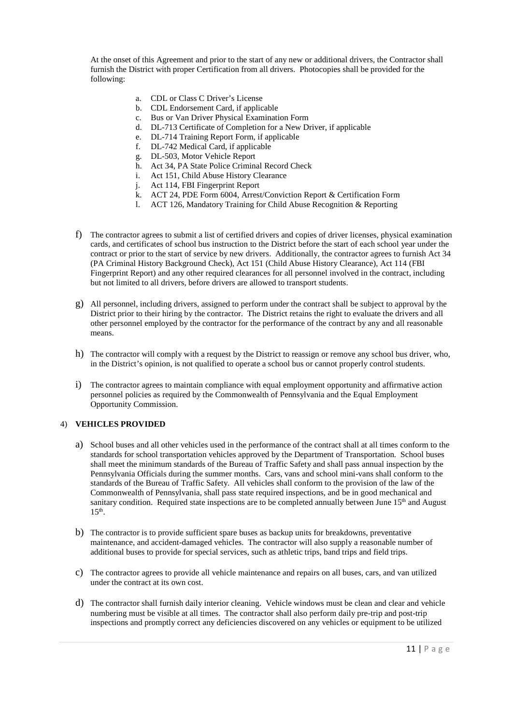At the onset of this Agreement and prior to the start of any new or additional drivers, the Contractor shall furnish the District with proper Certification from all drivers. Photocopies shall be provided for the following:

- a. CDL or Class C Driver's License
- b. CDL Endorsement Card, if applicable
- c. Bus or Van Driver Physical Examination Form
- d. DL-713 Certificate of Completion for a New Driver, if applicable
- e. DL-714 Training Report Form, if applicable
- f. DL-742 Medical Card, if applicable
- g. DL-503, Motor Vehicle Report
- h. Act 34, PA State Police Criminal Record Check
- i. Act 151, Child Abuse History Clearance
- j. Act 114, FBI Fingerprint Report
- k. ACT 24, PDE Form 6004, Arrest/Conviction Report & Certification Form
- l. ACT 126, Mandatory Training for Child Abuse Recognition & Reporting
- f) The contractor agrees to submit a list of certified drivers and copies of driver licenses, physical examination cards, and certificates of school bus instruction to the District before the start of each school year under the contract or prior to the start of service by new drivers. Additionally, the contractor agrees to furnish Act 34 (PA Criminal History Background Check), Act 151 (Child Abuse History Clearance), Act 114 (FBI Fingerprint Report) and any other required clearances for all personnel involved in the contract, including but not limited to all drivers, before drivers are allowed to transport students.
- g) All personnel, including drivers, assigned to perform under the contract shall be subject to approval by the District prior to their hiring by the contractor. The District retains the right to evaluate the drivers and all other personnel employed by the contractor for the performance of the contract by any and all reasonable means.
- h) The contractor will comply with a request by the District to reassign or remove any school bus driver, who, in the District's opinion, is not qualified to operate a school bus or cannot properly control students.
- i) The contractor agrees to maintain compliance with equal employment opportunity and affirmative action personnel policies as required by the Commonwealth of Pennsylvania and the Equal Employment Opportunity Commission.

# 4) **VEHICLES PROVIDED**

- a) School buses and all other vehicles used in the performance of the contract shall at all times conform to the standards for school transportation vehicles approved by the Department of Transportation. School buses shall meet the minimum standards of the Bureau of Traffic Safety and shall pass annual inspection by the Pennsylvania Officials during the summer months. Cars, vans and school mini-vans shall conform to the standards of the Bureau of Traffic Safety. All vehicles shall conform to the provision of the law of the Commonwealth of Pennsylvania, shall pass state required inspections, and be in good mechanical and sanitary condition. Required state inspections are to be completed annually between June 15<sup>th</sup> and August  $15<sup>th</sup>$ .
- b) The contractor is to provide sufficient spare buses as backup units for breakdowns, preventative maintenance, and accident-damaged vehicles. The contractor will also supply a reasonable number of additional buses to provide for special services, such as athletic trips, band trips and field trips.
- c) The contractor agrees to provide all vehicle maintenance and repairs on all buses, cars, and van utilized under the contract at its own cost.
- d) The contractor shall furnish daily interior cleaning. Vehicle windows must be clean and clear and vehicle numbering must be visible at all times. The contractor shall also perform daily pre-trip and post-trip inspections and promptly correct any deficiencies discovered on any vehicles or equipment to be utilized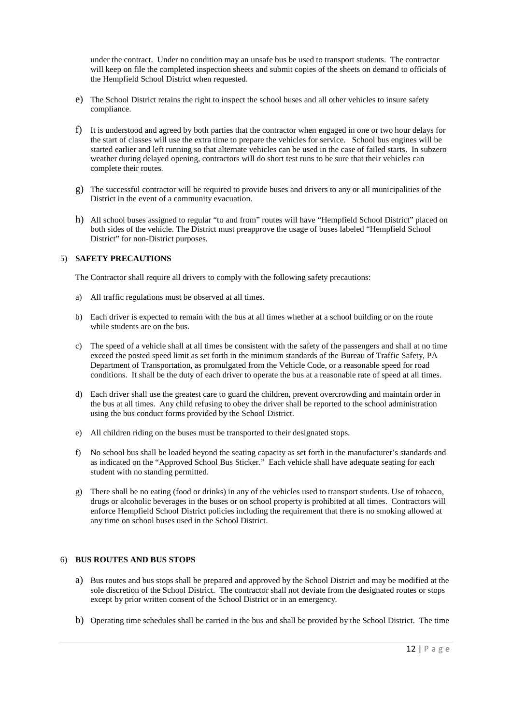under the contract. Under no condition may an unsafe bus be used to transport students. The contractor will keep on file the completed inspection sheets and submit copies of the sheets on demand to officials of the Hempfield School District when requested.

- e) The School District retains the right to inspect the school buses and all other vehicles to insure safety compliance.
- f) It is understood and agreed by both parties that the contractor when engaged in one or two hour delays for the start of classes will use the extra time to prepare the vehicles for service. School bus engines will be started earlier and left running so that alternate vehicles can be used in the case of failed starts. In subzero weather during delayed opening, contractors will do short test runs to be sure that their vehicles can complete their routes.
- g) The successful contractor will be required to provide buses and drivers to any or all municipalities of the District in the event of a community evacuation.
- h) All school buses assigned to regular "to and from" routes will have "Hempfield School District" placed on both sides of the vehicle. The District must preapprove the usage of buses labeled "Hempfield School District" for non-District purposes.

# 5) **SAFETY PRECAUTIONS**

The Contractor shall require all drivers to comply with the following safety precautions:

- a) All traffic regulations must be observed at all times.
- b) Each driver is expected to remain with the bus at all times whether at a school building or on the route while students are on the bus.
- c) The speed of a vehicle shall at all times be consistent with the safety of the passengers and shall at no time exceed the posted speed limit as set forth in the minimum standards of the Bureau of Traffic Safety, PA Department of Transportation, as promulgated from the Vehicle Code, or a reasonable speed for road conditions. It shall be the duty of each driver to operate the bus at a reasonable rate of speed at all times.
- d) Each driver shall use the greatest care to guard the children, prevent overcrowding and maintain order in the bus at all times. Any child refusing to obey the driver shall be reported to the school administration using the bus conduct forms provided by the School District.
- e) All children riding on the buses must be transported to their designated stops.
- f) No school bus shall be loaded beyond the seating capacity as set forth in the manufacturer's standards and as indicated on the "Approved School Bus Sticker." Each vehicle shall have adequate seating for each student with no standing permitted.
- g) There shall be no eating (food or drinks) in any of the vehicles used to transport students. Use of tobacco, drugs or alcoholic beverages in the buses or on school property is prohibited at all times. Contractors will enforce Hempfield School District policies including the requirement that there is no smoking allowed at any time on school buses used in the School District.

# 6) **BUS ROUTES AND BUS STOPS**

- a) Bus routes and bus stops shall be prepared and approved by the School District and may be modified at the sole discretion of the School District. The contractor shall not deviate from the designated routes or stops except by prior written consent of the School District or in an emergency.
- b) Operating time schedules shall be carried in the bus and shall be provided by the School District. The time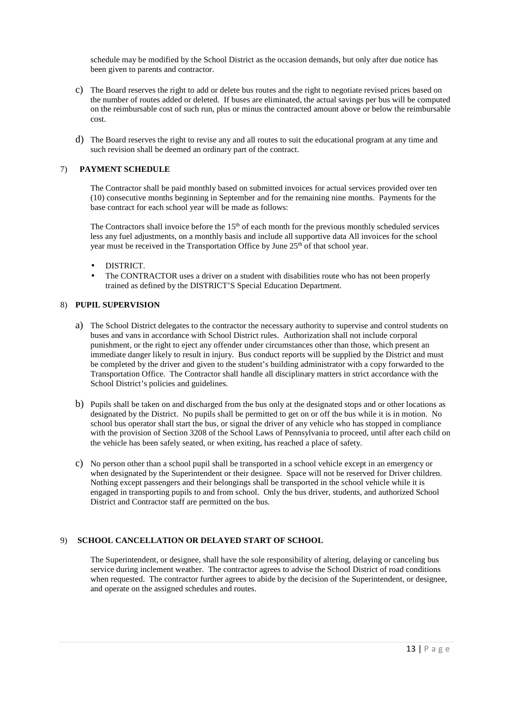schedule may be modified by the School District as the occasion demands, but only after due notice has been given to parents and contractor.

- c) The Board reserves the right to add or delete bus routes and the right to negotiate revised prices based on the number of routes added or deleted. If buses are eliminated, the actual savings per bus will be computed on the reimbursable cost of such run, plus or minus the contracted amount above or below the reimbursable cost.
- d) The Board reserves the right to revise any and all routes to suit the educational program at any time and such revision shall be deemed an ordinary part of the contract.

# 7) **PAYMENT SCHEDULE**

The Contractor shall be paid monthly based on submitted invoices for actual services provided over ten (10) consecutive months beginning in September and for the remaining nine months. Payments for the base contract for each school year will be made as follows:

The Contractors shall invoice before the  $15<sup>th</sup>$  of each month for the previous monthly scheduled services less any fuel adjustments, on a monthly basis and include all supportive data All invoices for the school year must be received in the Transportation Office by June 25<sup>th</sup> of that school year.

- DISTRICT.
- The CONTRACTOR uses a driver on a student with disabilities route who has not been properly trained as defined by the DISTRICT'S Special Education Department.

#### 8) **PUPIL SUPERVISION**

- a) The School District delegates to the contractor the necessary authority to supervise and control students on buses and vans in accordance with School District rules. Authorization shall not include corporal punishment, or the right to eject any offender under circumstances other than those, which present an immediate danger likely to result in injury. Bus conduct reports will be supplied by the District and must be completed by the driver and given to the student's building administrator with a copy forwarded to the Transportation Office. The Contractor shall handle all disciplinary matters in strict accordance with the School District's policies and guidelines.
- b) Pupils shall be taken on and discharged from the bus only at the designated stops and or other locations as designated by the District. No pupils shall be permitted to get on or off the bus while it is in motion. No school bus operator shall start the bus, or signal the driver of any vehicle who has stopped in compliance with the provision of Section 3208 of the School Laws of Pennsylvania to proceed, until after each child on the vehicle has been safely seated, or when exiting, has reached a place of safety.
- c) No person other than a school pupil shall be transported in a school vehicle except in an emergency or when designated by the Superintendent or their designee. Space will not be reserved for Driver children. Nothing except passengers and their belongings shall be transported in the school vehicle while it is engaged in transporting pupils to and from school. Only the bus driver, students, and authorized School District and Contractor staff are permitted on the bus.

# 9) **SCHOOL CANCELLATION OR DELAYED START OF SCHOOL**

The Superintendent, or designee, shall have the sole responsibility of altering, delaying or canceling bus service during inclement weather. The contractor agrees to advise the School District of road conditions when requested. The contractor further agrees to abide by the decision of the Superintendent, or designee, and operate on the assigned schedules and routes.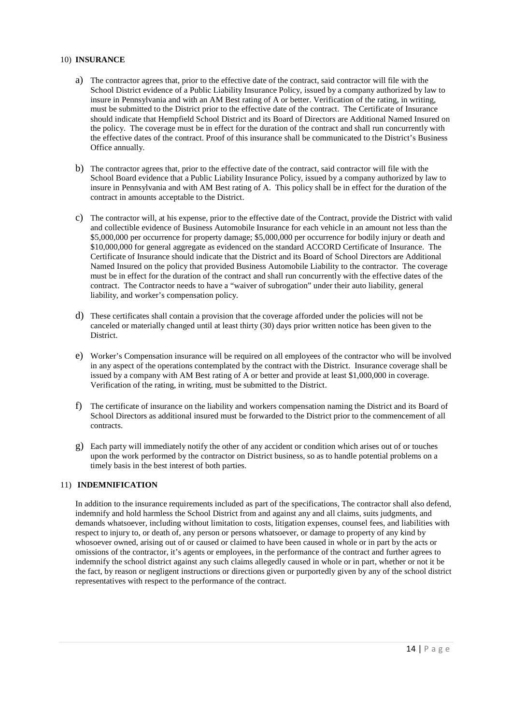#### 10) **INSURANCE**

- a) The contractor agrees that, prior to the effective date of the contract, said contractor will file with the School District evidence of a Public Liability Insurance Policy, issued by a company authorized by law to insure in Pennsylvania and with an AM Best rating of A or better. Verification of the rating, in writing, must be submitted to the District prior to the effective date of the contract. The Certificate of Insurance should indicate that Hempfield School District and its Board of Directors are Additional Named Insured on the policy. The coverage must be in effect for the duration of the contract and shall run concurrently with the effective dates of the contract. Proof of this insurance shall be communicated to the District's Business Office annually.
- b) The contractor agrees that, prior to the effective date of the contract, said contractor will file with the School Board evidence that a Public Liability Insurance Policy, issued by a company authorized by law to insure in Pennsylvania and with AM Best rating of A. This policy shall be in effect for the duration of the contract in amounts acceptable to the District.
- c) The contractor will, at his expense, prior to the effective date of the Contract, provide the District with valid and collectible evidence of Business Automobile Insurance for each vehicle in an amount not less than the \$5,000,000 per occurrence for property damage; \$5,000,000 per occurrence for bodily injury or death and \$10,000,000 for general aggregate as evidenced on the standard ACCORD Certificate of Insurance. The Certificate of Insurance should indicate that the District and its Board of School Directors are Additional Named Insured on the policy that provided Business Automobile Liability to the contractor. The coverage must be in effect for the duration of the contract and shall run concurrently with the effective dates of the contract. The Contractor needs to have a "waiver of subrogation" under their auto liability, general liability, and worker's compensation policy.
- d) These certificates shall contain a provision that the coverage afforded under the policies will not be canceled or materially changed until at least thirty (30) days prior written notice has been given to the District.
- e) Worker's Compensation insurance will be required on all employees of the contractor who will be involved in any aspect of the operations contemplated by the contract with the District. Insurance coverage shall be issued by a company with AM Best rating of A or better and provide at least \$1,000,000 in coverage. Verification of the rating, in writing, must be submitted to the District.
- f) The certificate of insurance on the liability and workers compensation naming the District and its Board of School Directors as additional insured must be forwarded to the District prior to the commencement of all contracts.
- g) Each party will immediately notify the other of any accident or condition which arises out of or touches upon the work performed by the contractor on District business, so as to handle potential problems on a timely basis in the best interest of both parties.

# 11) **INDEMNIFICATION**

In addition to the insurance requirements included as part of the specifications, The contractor shall also defend, indemnify and hold harmless the School District from and against any and all claims, suits judgments, and demands whatsoever, including without limitation to costs, litigation expenses, counsel fees, and liabilities with respect to injury to, or death of, any person or persons whatsoever, or damage to property of any kind by whosoever owned, arising out of or caused or claimed to have been caused in whole or in part by the acts or omissions of the contractor, it's agents or employees, in the performance of the contract and further agrees to indemnify the school district against any such claims allegedly caused in whole or in part, whether or not it be the fact, by reason or negligent instructions or directions given or purportedly given by any of the school district representatives with respect to the performance of the contract.